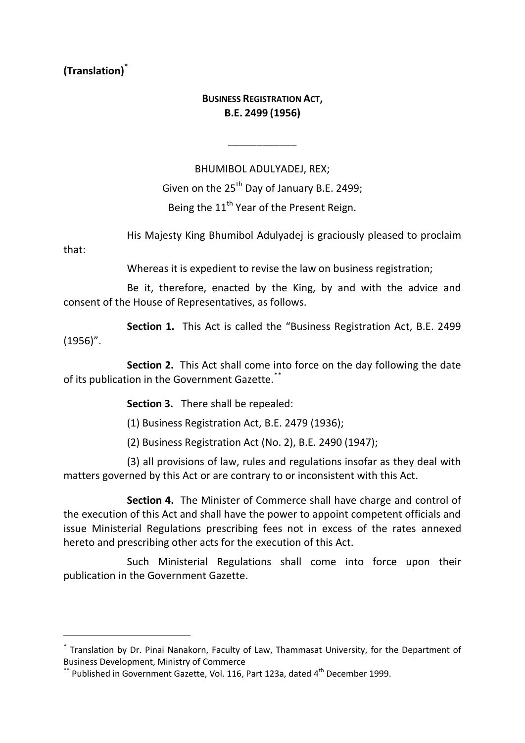# **(Translation)\***

that:

-

### **BUSINESS REGISTRATION ACT, B.E. 2499 (1956)**

\_\_\_\_\_\_\_\_\_\_\_\_

BHUMIBOL ADULYADEJ, REX; Given on the 25<sup>th</sup> Day of January B.E. 2499; Being the 11<sup>th</sup> Year of the Present Reign.

His Majesty King Bhumibol Adulyadej is graciously pleased to proclaim

Whereas it is expedient to revise the law on business registration;

Be it, therefore, enacted by the King, by and with the advice and consent of the House of Representatives, as follows.

**Section 1.** This Act is called the "Business Registration Act, B.E. 2499 (1956)".

**Section 2.** This Act shall come into force on the day following the date of its publication in the Government Gazette.\*\*

**Section 3.** There shall be repealed:

(1) Business Registration Act, B.E. 2479 (1936);

(2) Business Registration Act (No. 2), B.E. 2490 (1947);

(3) all provisions of law, rules and regulations insofar as they deal with matters governed by this Act or are contrary to or inconsistent with this Act.

**Section 4.** The Minister of Commerce shall have charge and control of the execution of this Act and shall have the power to appoint competent officials and issue Ministerial Regulations prescribing fees not in excess of the rates annexed hereto and prescribing other acts for the execution of this Act.

Such Ministerial Regulations shall come into force upon their publication in the Government Gazette.

<sup>\*</sup> Translation by Dr. Pinai Nanakorn, Faculty of Law, Thammasat University, for the Department of Business Development, Ministry of Commerce

 $**$  Published in Government Gazette, Vol. 116, Part 123a, dated 4<sup>th</sup> December 1999.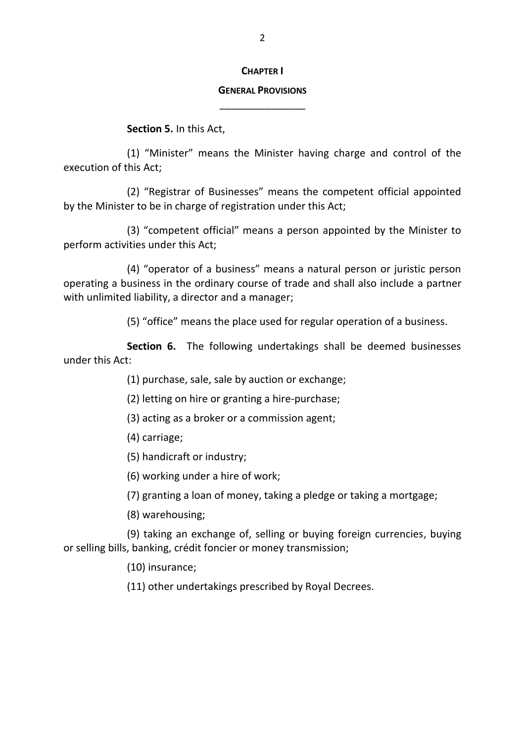#### **CHAPTER I**

## **GENERAL PROVISIONS** \_\_\_\_\_\_\_\_\_\_\_\_\_\_\_

**Section 5.** In this Act,

(1) "Minister" means the Minister having charge and control of the execution of this Act;

(2) "Registrar of Businesses" means the competent official appointed by the Minister to be in charge of registration under this Act;

(3) "competent official" means a person appointed by the Minister to perform activities under this Act;

(4) "operator of a business" means a natural person or juristic person operating a business in the ordinary course of trade and shall also include a partner with unlimited liability, a director and a manager;

(5) "office" means the place used for regular operation of a business.

**Section 6.** The following undertakings shall be deemed businesses under this Act:

(1) purchase, sale, sale by auction or exchange;

(2) letting on hire or granting a hire-purchase;

(3) acting as a broker or a commission agent;

- (4) carriage;
- (5) handicraft or industry;
- (6) working under a hire of work;

(7) granting a loan of money, taking a pledge or taking a mortgage;

(8) warehousing;

(9) taking an exchange of, selling or buying foreign currencies, buying or selling bills, banking, crédit foncier or money transmission;

(10) insurance;

(11) other undertakings prescribed by Royal Decrees.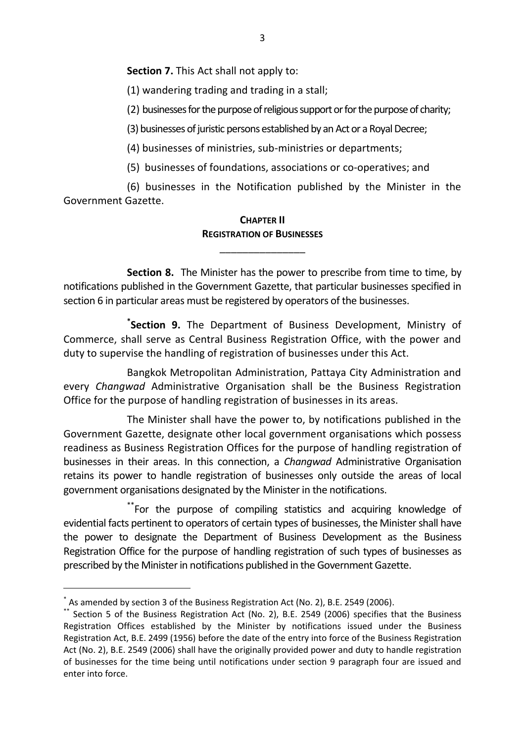**Section 7.** This Act shall not apply to:

(1) wandering trading and trading in a stall;

(2) businesses for the purpose of religious support or for the purpose of charity;

(3) businesses of juristic persons established by an Act or a Royal Decree;

(4) businesses of ministries, sub-ministries or departments;

(5) businesses of foundations, associations or co-operatives; and

(6) businesses in the Notification published by the Minister in the Government Gazette.

#### **CHAPTER II REGISTRATION OF BUSINESSES**

\_\_\_\_\_\_\_\_\_\_\_\_\_\_\_

**Section 8.** The Minister has the power to prescribe from time to time, by notifications published in the Government Gazette, that particular businesses specified in section 6 in particular areas must be registered by operators of the businesses.

**\* Section 9.** The Department of Business Development, Ministry of Commerce, shall serve as Central Business Registration Office, with the power and duty to supervise the handling of registration of businesses under this Act.

Bangkok Metropolitan Administration, Pattaya City Administration and every *Changwad* Administrative Organisation shall be the Business Registration Office for the purpose of handling registration of businesses in its areas.

The Minister shall have the power to, by notifications published in the Government Gazette, designate other local government organisations which possess readiness as Business Registration Offices for the purpose of handling registration of businesses in their areas. In this connection, a *Changwad* Administrative Organisation retains its power to handle registration of businesses only outside the areas of local government organisations designated by the Minister in the notifications.

\*\*For the purpose of compiling statistics and acquiring knowledge of evidential facts pertinent to operators of certain types of businesses, the Minister shall have the power to designate the Department of Business Development as the Business Registration Office for the purpose of handling registration of such types of businesses as prescribed by the Minister in notifications published in the Government Gazette.

-

<sup>\*</sup> As amended by section 3 of the Business Registration Act (No. 2), B.E. 2549 (2006).

<sup>\*\*</sup> Section 5 of the Business Registration Act (No. 2), B.E. 2549 (2006) specifies that the Business Registration Offices established by the Minister by notifications issued under the Business Registration Act, B.E. 2499 (1956) before the date of the entry into force of the Business Registration Act (No. 2), B.E. 2549 (2006) shall have the originally provided power and duty to handle registration of businesses for the time being until notifications under section 9 paragraph four are issued and enter into force.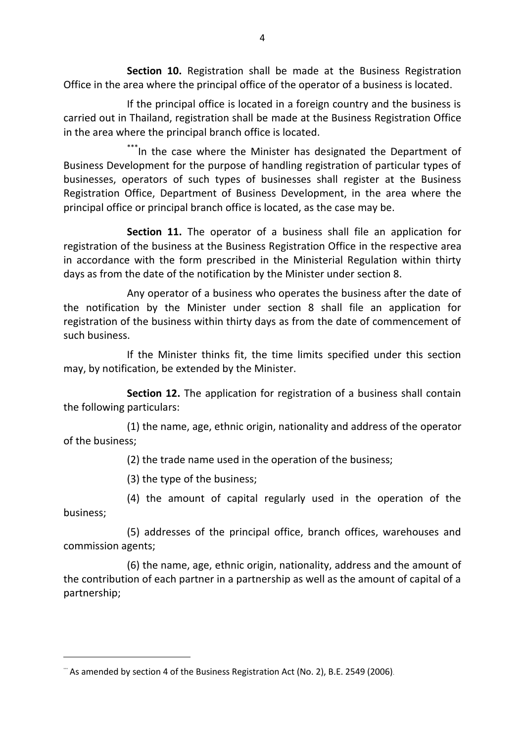**Section 10.** Registration shall be made at the Business Registration Office in the area where the principal office of the operator of a business is located.

If the principal office is located in a foreign country and the business is carried out in Thailand, registration shall be made at the Business Registration Office in the area where the principal branch office is located.

\*\*\*In the case where the Minister has designated the Department of Business Development for the purpose of handling registration of particular types of businesses, operators of such types of businesses shall register at the Business Registration Office, Department of Business Development, in the area where the principal office or principal branch office is located, as the case may be.

**Section 11.** The operator of a business shall file an application for registration of the business at the Business Registration Office in the respective area in accordance with the form prescribed in the Ministerial Regulation within thirty days as from the date of the notification by the Minister under section 8.

Any operator of a business who operates the business after the date of the notification by the Minister under section 8 shall file an application for registration of the business within thirty days as from the date of commencement of such business.

If the Minister thinks fit, the time limits specified under this section may, by notification, be extended by the Minister.

**Section 12.** The application for registration of a business shall contain the following particulars:

(1) the name, age, ethnic origin, nationality and address of the operator of the business;

(2) the trade name used in the operation of the business;

(3) the type of the business;

-

(4) the amount of capital regularly used in the operation of the business;

(5) addresses of the principal office, branch offices, warehouses and commission agents;

(6) the name, age, ethnic origin, nationality, address and the amount of the contribution of each partner in a partnership as well as the amount of capital of a partnership;

<sup>&</sup>quot; As amended by section 4 of the Business Registration Act (No. 2), B.E. 2549 (2006).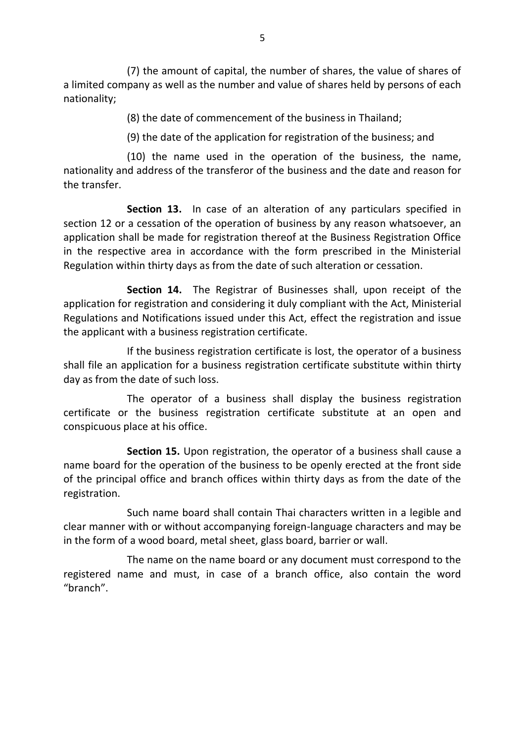(7) the amount of capital, the number of shares, the value of shares of a limited company as well as the number and value of shares held by persons of each nationality;

(8) the date of commencement of the business in Thailand;

(9) the date of the application for registration of the business; and

(10) the name used in the operation of the business, the name, nationality and address of the transferor of the business and the date and reason for the transfer.

**Section 13.** In case of an alteration of any particulars specified in section 12 or a cessation of the operation of business by any reason whatsoever, an application shall be made for registration thereof at the Business Registration Office in the respective area in accordance with the form prescribed in the Ministerial Regulation within thirty days as from the date of such alteration or cessation.

**Section 14.** The Registrar of Businesses shall, upon receipt of the application for registration and considering it duly compliant with the Act, Ministerial Regulations and Notifications issued under this Act, effect the registration and issue the applicant with a business registration certificate.

If the business registration certificate is lost, the operator of a business shall file an application for a business registration certificate substitute within thirty day as from the date of such loss.

The operator of a business shall display the business registration certificate or the business registration certificate substitute at an open and conspicuous place at his office.

**Section 15.** Upon registration, the operator of a business shall cause a name board for the operation of the business to be openly erected at the front side of the principal office and branch offices within thirty days as from the date of the registration.

Such name board shall contain Thai characters written in a legible and clear manner with or without accompanying foreign-language characters and may be in the form of a wood board, metal sheet, glass board, barrier or wall.

The name on the name board or any document must correspond to the registered name and must, in case of a branch office, also contain the word "branch".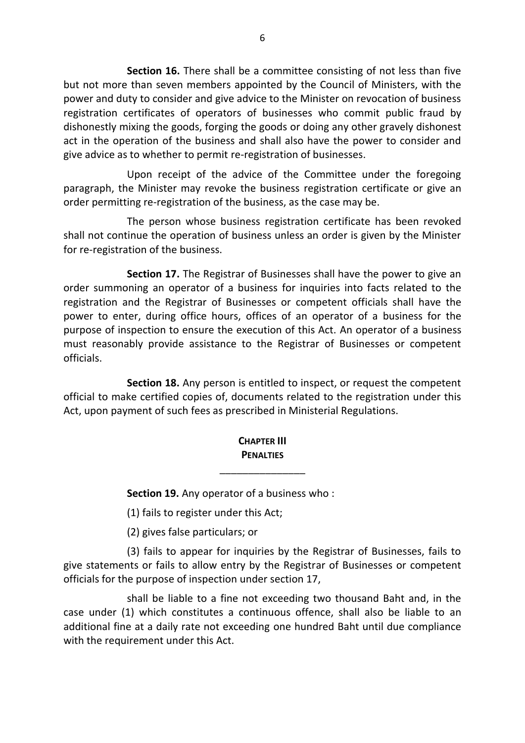**Section 16.** There shall be a committee consisting of not less than five but not more than seven members appointed by the Council of Ministers, with the power and duty to consider and give advice to the Minister on revocation of business registration certificates of operators of businesses who commit public fraud by dishonestly mixing the goods, forging the goods or doing any other gravely dishonest act in the operation of the business and shall also have the power to consider and give advice as to whether to permit re-registration of businesses.

Upon receipt of the advice of the Committee under the foregoing paragraph, the Minister may revoke the business registration certificate or give an order permitting re-registration of the business, as the case may be.

The person whose business registration certificate has been revoked shall not continue the operation of business unless an order is given by the Minister for re-registration of the business.

**Section 17.** The Registrar of Businesses shall have the power to give an order summoning an operator of a business for inquiries into facts related to the registration and the Registrar of Businesses or competent officials shall have the power to enter, during office hours, offices of an operator of a business for the purpose of inspection to ensure the execution of this Act. An operator of a business must reasonably provide assistance to the Registrar of Businesses or competent officials.

**Section 18.** Any person is entitled to inspect, or request the competent official to make certified copies of, documents related to the registration under this Act, upon payment of such fees as prescribed in Ministerial Regulations.

## **CHAPTER III PENALTIES**

\_\_\_\_\_\_\_\_\_\_\_\_\_\_\_

**Section 19.** Any operator of a business who :

(1) fails to register under this Act;

(2) gives false particulars; or

(3) fails to appear for inquiries by the Registrar of Businesses, fails to give statements or fails to allow entry by the Registrar of Businesses or competent officials for the purpose of inspection under section 17,

shall be liable to a fine not exceeding two thousand Baht and, in the case under (1) which constitutes a continuous offence, shall also be liable to an additional fine at a daily rate not exceeding one hundred Baht until due compliance with the requirement under this Act.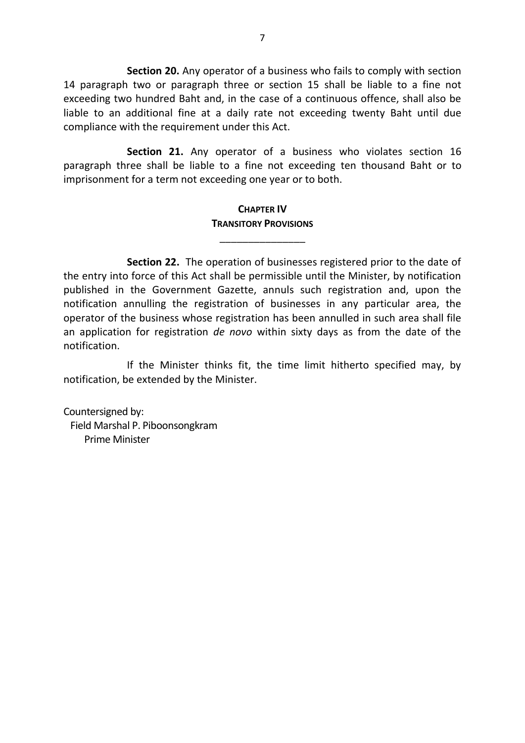**Section 20.** Any operator of a business who fails to comply with section 14 paragraph two or paragraph three or section 15 shall be liable to a fine not exceeding two hundred Baht and, in the case of a continuous offence, shall also be liable to an additional fine at a daily rate not exceeding twenty Baht until due compliance with the requirement under this Act.

**Section 21.** Any operator of a business who violates section 16 paragraph three shall be liable to a fine not exceeding ten thousand Baht or to imprisonment for a term not exceeding one year or to both.

#### **CHAPTER IV TRANSITORY PROVISIONS**

\_\_\_\_\_\_\_\_\_\_\_\_\_\_\_

**Section 22.** The operation of businesses registered prior to the date of the entry into force of this Act shall be permissible until the Minister, by notification published in the Government Gazette, annuls such registration and, upon the notification annulling the registration of businesses in any particular area, the operator of the business whose registration has been annulled in such area shall file an application for registration *de novo* within sixty days as from the date of the notification.

If the Minister thinks fit, the time limit hitherto specified may, by notification, be extended by the Minister.

Countersigned by: Field Marshal P. Piboonsongkram Prime Minister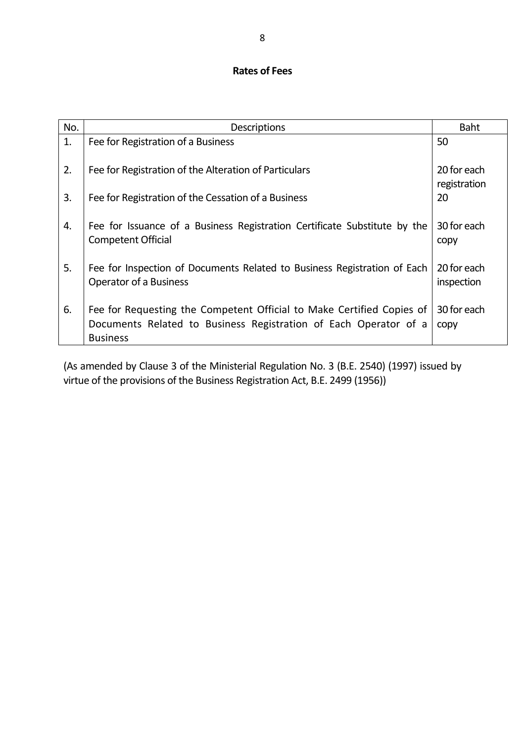# **Rates of Fees**

| No. | <b>Descriptions</b>                                                                                                                                          | <b>Baht</b>                 |
|-----|--------------------------------------------------------------------------------------------------------------------------------------------------------------|-----------------------------|
| 1.  | Fee for Registration of a Business                                                                                                                           | 50                          |
| 2.  | Fee for Registration of the Alteration of Particulars                                                                                                        | 20 for each<br>registration |
| 3.  | Fee for Registration of the Cessation of a Business                                                                                                          | 20                          |
| 4.  | Fee for Issuance of a Business Registration Certificate Substitute by the<br><b>Competent Official</b>                                                       | 30 for each<br>copy         |
| 5.  | Fee for Inspection of Documents Related to Business Registration of Each<br><b>Operator of a Business</b>                                                    | 20 for each<br>inspection   |
| 6.  | Fee for Requesting the Competent Official to Make Certified Copies of<br>Documents Related to Business Registration of Each Operator of a<br><b>Business</b> | 30 for each<br>copy         |

(As amended by Clause 3 of the Ministerial Regulation No. 3 (B.E. 2540) (1997) issued by virtue of the provisions of the Business Registration Act, B.E. 2499 (1956))